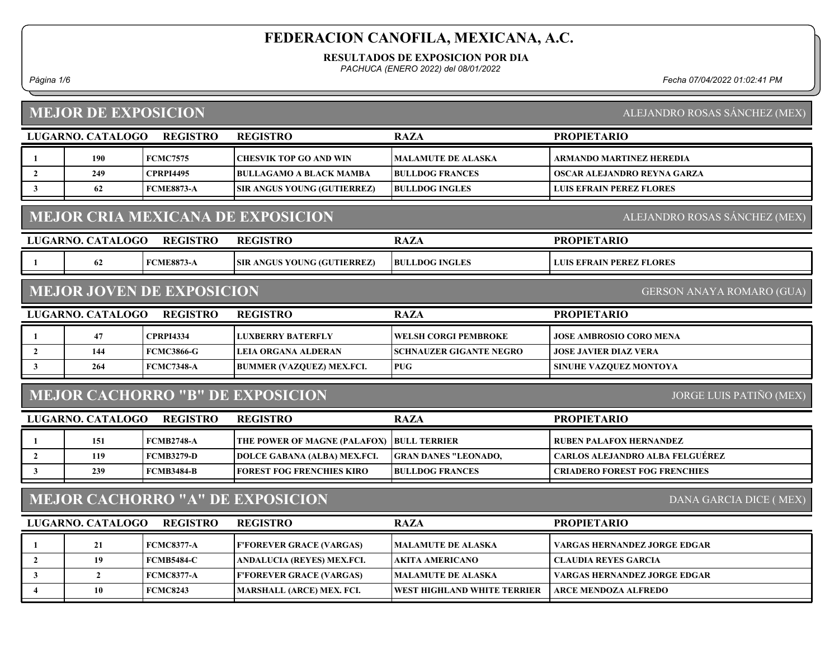RESULTADOS DE EXPOSICION POR DIA

PACHUCA (ENERO 2022) del 08/01/2022

Página 1/6 Fecha 07/04/2022 01:02:41 PM

# MEJOR DE EXPOSICION

ALEJANDRO ROSAS SÁNCHEZ (MEX)

|                                                                           | LUGARNO. CATALOGO | <b>REGISTRO</b>                  | <b>REGISTRO</b>                         | <b>RAZA</b>                        | <b>PROPIETARIO</b>                     |  |  |
|---------------------------------------------------------------------------|-------------------|----------------------------------|-----------------------------------------|------------------------------------|----------------------------------------|--|--|
| 1                                                                         | 190               | <b>FCMC7575</b>                  | <b>CHESVIK TOP GO AND WIN</b>           | <b>MALAMUTE DE ALASKA</b>          | ARMANDO MARTINEZ HEREDIA               |  |  |
| $\overline{2}$                                                            | 249               | <b>CPRPI4495</b>                 | <b>BULLAGAMO A BLACK MAMBA</b>          | <b>BULLDOG FRANCES</b>             | OSCAR ALEJANDRO REYNA GARZA            |  |  |
| $\mathbf{3}$                                                              | 62                | <b>FCME8873-A</b>                | SIR ANGUS YOUNG (GUTIERREZ)             | <b>BULLDOG INGLES</b>              | <b>LUIS EFRAIN PEREZ FLORES</b>        |  |  |
| <b>MEJOR CRIA MEXICANA DE EXPOSICION</b><br>ALEJANDRO ROSAS SÁNCHEZ (MEX) |                   |                                  |                                         |                                    |                                        |  |  |
|                                                                           | LUGARNO. CATALOGO | <b>REGISTRO</b>                  | <b>REGISTRO</b>                         | <b>RAZA</b>                        | <b>PROPIETARIO</b>                     |  |  |
| -1                                                                        | 62                | <b>FCME8873-A</b>                | SIR ANGUS YOUNG (GUTIERREZ)             | <b>BULLDOG INGLES</b>              | <b>LUIS EFRAIN PEREZ FLORES</b>        |  |  |
|                                                                           |                   | <b>MEJOR JOVEN DE EXPOSICION</b> |                                         |                                    | <b>GERSON ANAYA ROMARO (GUA)</b>       |  |  |
|                                                                           | LUGARNO. CATALOGO | <b>REGISTRO</b>                  | <b>REGISTRO</b>                         | <b>RAZA</b>                        | <b>PROPIETARIO</b>                     |  |  |
| -1                                                                        | 47                | <b>CPRPI4334</b>                 | <b>LUXBERRY BATERFLY</b>                | <b>WELSH CORGI PEMBROKE</b>        | JOSE AMBROSIO CORO MENA                |  |  |
| $\overline{2}$                                                            | 144               | <b>FCMC3866-G</b>                | LEIA ORGANA ALDERAN                     | <b>SCHNAUZER GIGANTE NEGRO</b>     | <b>JOSE JAVIER DIAZ VERA</b>           |  |  |
| $\mathbf{3}$                                                              | 264               | <b>FCMC7348-A</b>                | <b>BUMMER (VAZQUEZ) MEX.FCI.</b>        | <b>PUG</b>                         | SINUHE VAZQUEZ MONTOYA                 |  |  |
|                                                                           |                   |                                  | <b>MEJOR CACHORRO "B" DE EXPOSICION</b> |                                    | <b>JORGE LUIS PATIÑO (MEX)</b>         |  |  |
|                                                                           | LUGARNO. CATALOGO | <b>REGISTRO</b>                  | <b>REGISTRO</b>                         | <b>RAZA</b>                        | <b>PROPIETARIO</b>                     |  |  |
| -1                                                                        | 151               | <b>FCMB2748-A</b>                | THE POWER OF MAGNE (PALAFOX)            | <b>BULL TERRIER</b>                | <b>RUBEN PALAFOX HERNANDEZ</b>         |  |  |
| $\overline{2}$                                                            | 119               | <b>FCMB3279-D</b>                | DOLCE GABANA (ALBA) MEX.FCI.            | <b>GRAN DANES "LEONADO,</b>        | <b>CARLOS ALEJANDRO ALBA FELGUÉREZ</b> |  |  |
| $\mathbf{3}$                                                              | 239               | <b>FCMB3484-B</b>                | <b>FOREST FOG FRENCHIES KIRO</b>        | <b>BULLDOG FRANCES</b>             | <b>CRIADERO FOREST FOG FRENCHIES</b>   |  |  |
| <b>MEJOR CACHORRO "A" DE EXPOSICION</b><br>DANA GARCIA DICE (MEX)         |                   |                                  |                                         |                                    |                                        |  |  |
|                                                                           | LUGARNO. CATALOGO | <b>REGISTRO</b>                  | <b>REGISTRO</b>                         | <b>RAZA</b>                        | <b>PROPIETARIO</b>                     |  |  |
| 1                                                                         | 21                | <b>FCMC8377-A</b>                | <b>F'FOREVER GRACE (VARGAS)</b>         | <b>MALAMUTE DE ALASKA</b>          | VARGAS HERNANDEZ JORGE EDGAR           |  |  |
| $\mathbf{2}$                                                              | 19                | <b>FCMB5484-C</b>                | ANDALUCIA (REYES) MEX.FCI.              | <b>AKITA AMERICANO</b>             | <b>CLAUDIA REYES GARCIA</b>            |  |  |
| 3                                                                         | $\overline{2}$    | <b>FCMC8377-A</b>                | <b>F'FOREVER GRACE (VARGAS)</b>         | <b>MALAMUTE DE ALASKA</b>          | <b>VARGAS HERNANDEZ JORGE EDGAR</b>    |  |  |
| $\overline{4}$                                                            | 10                | <b>FCMC8243</b>                  | <b>MARSHALL (ARCE) MEX. FCI.</b>        | <b>WEST HIGHLAND WHITE TERRIER</b> | <b>ARCE MENDOZA ALFREDO</b>            |  |  |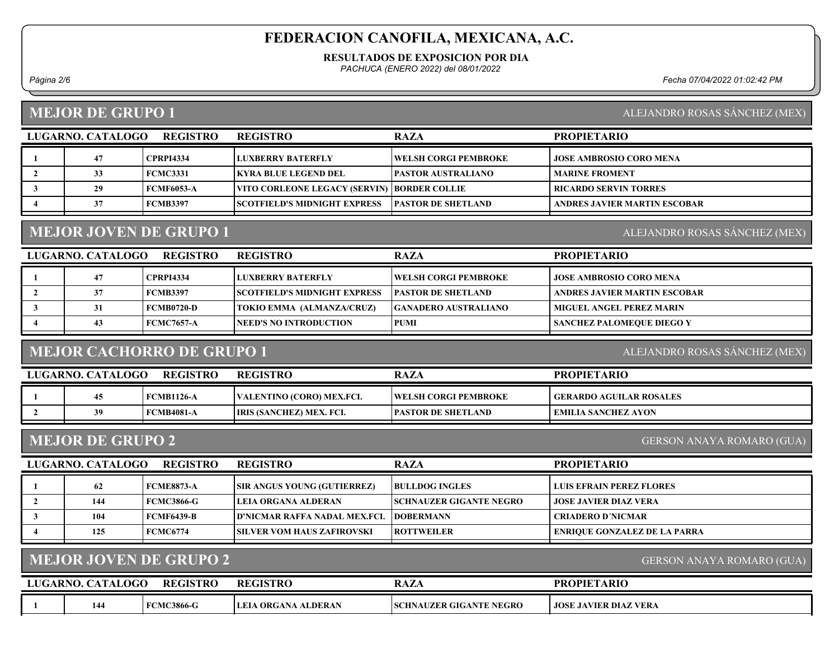#### RESULTADOS DE EXPOSICION POR DIA

PACHUCA (ENERO 2022) del 08/01/2022

Página 2/6 Fecha 07/04/2022 01:02:42 PM

### MEJOR DE GRUPO 1

| ALEJANDRO ROSAS SANCHEZ (MEX) |  |  |
|-------------------------------|--|--|
|                               |  |  |

| LUGARNO. CATALOGO | <b>REGISTRO</b>  | <b>REGISTRO</b>                               | <b>RAZA</b>                  | <b>PROPIETARIO</b>             |
|-------------------|------------------|-----------------------------------------------|------------------------------|--------------------------------|
| 47                | <b>CPRPI4334</b> | LUXBERRY BATERFLY                             | <b>IWELSH CORGI PEMBROKE</b> | <b>JOSE AMBROSIO CORO MENA</b> |
| 33                | FCMC3331         | <b>KYRA BLUE LEGEND DEL</b>                   | <b>PASTOR AUSTRALIANO</b>    | <b>MARINE FROMENT</b>          |
| 29                | FCMF6053-A       | VITO CORLEONE LEGACY (SERVIN)   BORDER COLLIE |                              | RICARDO SERVIN TORRES          |
| 37                | FCMB3397         | <b>ISCOTFIELD'S MIDNIGHT EXPRESS</b>          | <b>IPASTOR DE SHETLAND</b>   | ANDRES JAVIER MARTIN ESCOBAR   |

## MEJOR JOVEN DE GRUPO 1

ALEJANDRO ROSAS SÁNCHEZ (MEX)

| LUGARNO. CATALOGO | <b>REGISTRO</b> | <b>REGISTRO</b>                     | <b>RAZA</b>                  | <b>PROPIETARIO</b>               |
|-------------------|-----------------|-------------------------------------|------------------------------|----------------------------------|
| 47                | CPRPI4334       | LUXBERRY BATERFLY                   | <b>TWELSH CORGI PEMBROKE</b> | <b>JOSE AMBROSIO CORO MENA</b>   |
| 37                | <b>FCMB3397</b> | <b>SCOTFIELD'S MIDNIGHT EXPRESS</b> | <b>IPASTOR DE SHETLAND</b>   | ANDRES JAVIER MARTIN ESCOBAR     |
| 31                | FCMB0720-D      | TOKIO EMMA (ALMANZA/CRUZ)           | <b>GANADERO AUSTRALIANO</b>  | <b>MIGUEL ANGEL PEREZ MARIN</b>  |
| 43                | FCMC7657-A      | <b>INEED'S NO INTRODUCTION</b>      | <b>PUMI</b>                  | <b>SANCHEZ PALOMEQUE DIEGO Y</b> |
|                   |                 |                                     |                              |                                  |

## MEJOR CACHORRO DE GRUPO 1

ALEJANDRO ROSAS SÁNCHEZ (MEX)

| LUGARNO. CATALOGO | <b>REGISTRO</b>   | <b>REGISTRO</b>                 | RAZA                         | <b>PROPIETARIO</b>              |
|-------------------|-------------------|---------------------------------|------------------------------|---------------------------------|
| 45                | FCMB1126-A        | VALENTINO (CORO) MEX.FCI.       | <b>TWELSH CORGI PEMBROKE</b> | <b>LGERARDO AGUILAR ROSALES</b> |
| 30                | <b>FCMB4081-A</b> | <b>IRIS (SANCHEZ) MEX. FCI.</b> | <b>PASTOR DE SHETLAND</b>    | EMILIA SANCHEZ AYON             |

### MEJOR DE GRUPO 2

GERSON ANAYA ROMARO (GUA)

| LUGARNO. CATALOGO | <b>REGISTRO</b>   | <b>REGISTRO</b>                     | <b>RAZA</b>                    | <b>PROPIETARIO</b>                  |
|-------------------|-------------------|-------------------------------------|--------------------------------|-------------------------------------|
| 62                | <b>FCME8873-A</b> | <b>SIR ANGUS YOUNG (GUTIERREZ)</b>  | <b>BULLDOG INGLES</b>          | LUIS EFRAIN PEREZ FLORES            |
| 144               | <b>FCMC3866-G</b> | LEIA ORGANA ALDERAN                 | <b>SCHNAUZER GIGANTE NEGRO</b> | <b>JOSE JAVIER DIAZ VERA</b>        |
| 104               | <b>FCMF6439-B</b> | <b>D'NICMAR RAFFA NADAL MEX.FCL</b> | <b>IDOBERMANN</b>              | <b>CRIADERO D'NICMAR</b>            |
| 125               | <b>FCMC6774</b>   | <b>SILVER VOM HAUS ZAFIROVSKI</b>   | <b>ROTTWEILER</b>              | <b>ENRIQUE GONZALEZ DE LA PARRA</b> |

### MEJOR JOVEN DE GRUPO 2

GERSON ANAYA ROMARO (GUA)

| LUGARNO. CATALOGO | <b>REGISTRO</b>   | <b>REGISTRO</b>            | <b>RAZA</b>                    | <b>PROPIETARIO</b>           |
|-------------------|-------------------|----------------------------|--------------------------------|------------------------------|
| 144               | <b>FCMC3866-G</b> | <b>LEIA ORGANA ALDERAN</b> | <b>SCHNAUZER GIGANTE NEGRO</b> | <b>JOSE JAVIER DIAZ VERA</b> |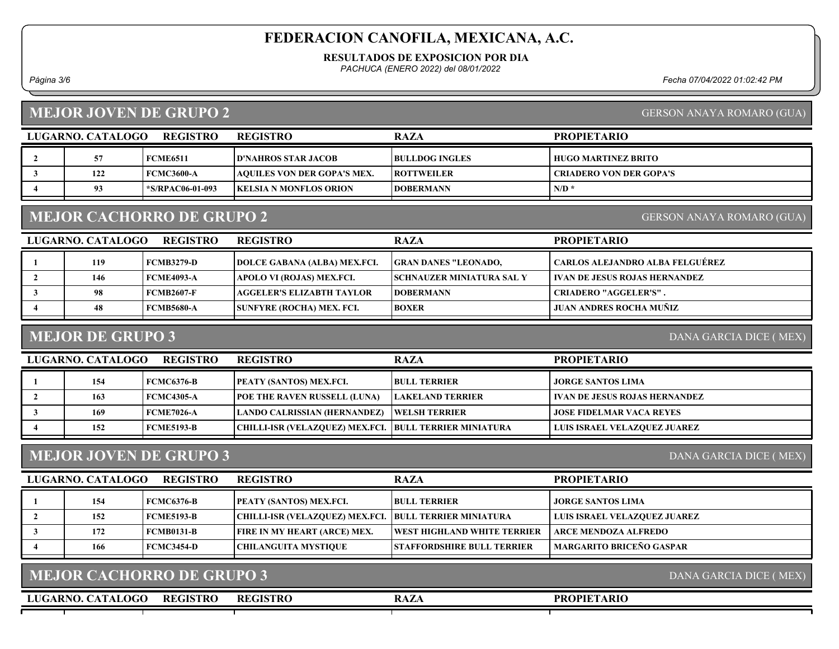#### RESULTADOS DE EXPOSICION POR DIA

PACHUCA (ENERO 2022) del 08/01/2022

Página 3/6 Fecha 07/04/2022 01:02:42 PM

### MEJOR JOVEN DE GRUPO 2

|  | <b>GERSON ANAYA ROMARO (GUA)</b> |  |
|--|----------------------------------|--|

GERSON ANAYA ROMARO (GUA)

| LUGARNO. CATALOGO | REGISTRO          | <b>REGISTRO</b>                    | <b>RAZA</b>           | <b>PROPIETARIO</b>             |
|-------------------|-------------------|------------------------------------|-----------------------|--------------------------------|
| 57                | <b>FCME6511</b>   | <b> D'NAHROS STAR JACOB_</b>       | <b>BULLDOG INGLES</b> | HUGO MARTINEZ BRITO            |
| 122               | <b>FCMC3600-A</b> | <b>AQUILES VON DER GOPA'S MEX.</b> | <b>ROTTWEILER</b>     | <b>CRIADERO VON DER GOPA'S</b> |
| 93                | *S/RPAC06-01-093  | <b>IKELSIA N MONFLOS ORION</b>     | <b>IDOBERMANN</b>     | $N/D$ <sup>*</sup>             |

### MEJOR CACHORRO DE GRUPO 2

LUGARNO. CATALOGO REGISTRO RAZA PROPIETARIO REGISTRO 1 119 FCMB3279-D DOLCE GABANA (ALBA) MEX.FCI. GRAN DANES "LEONADO, CARLOS ALEJANDRO ALBA FELGUÉREZ 2 | 146 FCME4093-A | APOLO VI (ROJAS) MEX.FCI. | SCHNAUZER MINIATURA SAL Y | IVAN DE JESUS ROJAS HERNANDEZ 3 98 FCMB2607-F AGGELER'S ELIZABTH TAYLOR DOBERMANN CRIADERO "AGGELER'S". 4 48 FCMB5680-A SUNFYRE (ROCHA) MEX. FCI. BOXER JUAN ANDRES ROCHA MUÑIZ

#### MEJOR DE GRUPO 3

DANA GARCIA DICE ( MEX)

| LUGARNO. CATALOGO | <b>REGISTRO</b>   | <b>REGISTRO</b>                                         | <b>RAZA</b>          | <b>PROPIETARIO</b>              |
|-------------------|-------------------|---------------------------------------------------------|----------------------|---------------------------------|
| 154               | <b>FCMC6376-B</b> | <b>PEATY (SANTOS) MEX.FCI.</b>                          | <b>BULL TERRIER</b>  | JORGE SANTOS LIMA               |
| 163               | FCMC4305-A        | <b>POE THE RAVEN RUSSELL (LUNA)</b>                     | LAKELAND TERRIER     | I IVAN DE JESUS ROJAS HERNANDEZ |
| 169               | <b>FCME7026-A</b> | LANDO CALRISSIAN (HERNANDEZ)                            | <b>WELSH TERRIER</b> | <b>JOSE FIDELMAR VACA REYES</b> |
| 152               | FCME5193-B        | CHILLI-ISR (VELAZOUEZ) MEX.FCI.  BULL TERRIER MINIATURA |                      | LUIS ISRAEL VELAZQUEZ JUAREZ    |

### MEJOR JOVEN DE GRUPO 3

DANA GARCIA DICE ( MEX)

DANA GARCIA DICE ( MEX)

| LUGARNO. CATALOGO | <b>REGISTRO</b>   | <b>REGISTRO</b>                                         | <b>RAZA</b>                        | <b>PROPIETARIO</b>                  |
|-------------------|-------------------|---------------------------------------------------------|------------------------------------|-------------------------------------|
| 154               | <b>FCMC6376-B</b> | <b>PEATY (SANTOS) MEX.FCI.</b>                          | <b>BULL TERRIER</b>                | <b>JORGE SANTOS LIMA</b>            |
| 152               | <b>FCME5193-B</b> | CHILLI-ISR (VELAZQUEZ) MEX.FCI.  BULL TERRIER MINIATURA |                                    | <b>LUIS ISRAEL VELAZQUEZ JUAREZ</b> |
| 172               | <b>FCMB0131-B</b> | <b>FIRE IN MY HEART (ARCE) MEX.</b>                     | <b>WEST HIGHLAND WHITE TERRIER</b> | ARCE MENDOZA ALFREDO                |
| 166               | FCMC3454-D        | CHILANGUITA MYSTIOUE                                    | <b>STAFFORDSHIRE BULL TERRIER</b>  | <b>MARGARITO BRICEÑO GASPAR</b>     |

|  | <b>MEJOR CACHORRO DE GRUPO 3</b> |
|--|----------------------------------|
|  |                                  |

LUGARNO. CATALOGO REGISTRO RAZA REGISTRO

#### PROPIETARIO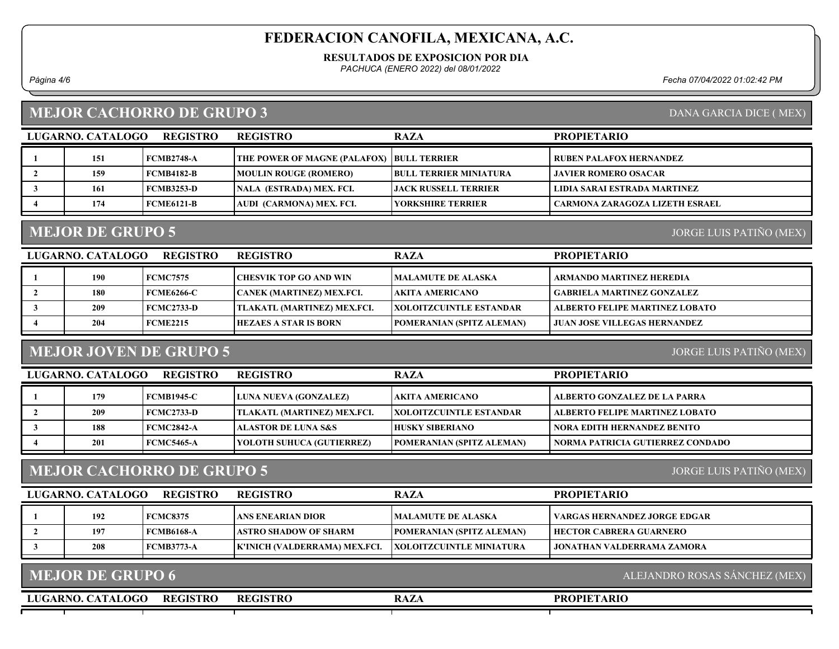#### RESULTADOS DE EXPOSICION POR DIA

PACHUCA (ENERO 2022) del 08/01/2022

Página 4/6 Fecha 07/04/2022 01:02:42 PM

DANA GARCIA DICE ( MEX)

### MEJOR CACHORRO DE GRUPO 3

| <b>REGISTRO</b><br>LUGARNO. CATALOGO |     |                   | <b>REGISTRO</b>                                  | <b>RAZA</b>                  | <b>PROPIETARIO</b>             |  |
|--------------------------------------|-----|-------------------|--------------------------------------------------|------------------------------|--------------------------------|--|
|                                      | 151 | <b>FCMB2748-A</b> | <b>THE POWER OF MAGNE (PALAFOX) BULL TERRIER</b> |                              | RUBEN PALAFOX HERNANDEZ        |  |
|                                      | 159 | <b>FCMB4182-B</b> | <b>MOULIN ROUGE (ROMERO)</b>                     | I BULL TERRIER MINIATURA     | <b>LIAVIER ROMERO OSACAR</b>   |  |
|                                      | 161 | FCMB3253-D        | NALA (ESTRADA) MEX. FCI.                         | <b>LIACK RUSSELL TERRIER</b> | LIDIA SARAI ESTRADA MARTINEZ   |  |
|                                      | 174 | FCME6121-B        | AUDI_(CARMONA) MEX. FCI.                         | YORKSHIRE TERRIER            | CARMONA ZARAGOZA LIZETH ESRAEL |  |
|                                      |     |                   |                                                  |                              |                                |  |

## MEJOR DE GRUPO 5

JORGE LUIS PATIÑO (MEX)

| <b>REGISTRO</b><br>LUGARNO. CATALOGO |     |                   | <b>REGISTRO</b>             | <b>RAZA</b>                     | <b>PROPIETARIO</b>                  |
|--------------------------------------|-----|-------------------|-----------------------------|---------------------------------|-------------------------------------|
|                                      | 190 | <b>FCMC7575</b>   | CHESVIK TOP GO AND WIN      | MALAMUTE DE ALASKA              | ARMANDO MARTINEZ HEREDIA            |
|                                      | 180 | <b>FCME6266-C</b> | CANEK (MARTINEZ) MEX.FCI.   | AKITA AMERICANO_                | <b>GABRIELA MARTINEZ GONZALEZ</b>   |
|                                      | 209 | <b>FCMC2733-D</b> | TLAKATL (MARTINEZ) MEX.FCI. | <b> XOLOITZCUINTLE ESTANDAR</b> | ALBERTO FELIPE MARTINEZ LOBATO      |
|                                      | 204 | FCME2215          | HEZAES A STAR IS BORN       | POMERANIAN (SPITZ ALEMAN)       | <b>JUAN JOSE VILLEGAS HERNANDEZ</b> |

## MEJOR JOVEN DE GRUPO 5

JORGE LUIS PATIÑO (MEX)

| LUGARNO. CATALOGO<br><b>REGISTRO</b> |     |                   | <b>REGISTRO</b>                | <b>RAZA</b>                      | <b>PROPIETARIO</b>                 |
|--------------------------------------|-----|-------------------|--------------------------------|----------------------------------|------------------------------------|
|                                      | 179 | <b>FCMB1945-C</b> | <b>LUNA NUEVA (GONZALEZ)</b>   | AKITA AMERICANO_                 | ALBERTO GONZALEZ DE LA PARRA       |
|                                      | 209 | FCMC2733-D        | TLAKATL (MARTINEZ) MEX.FCI.    | <b>IXOLOITZCUINTLE ESTANDAR</b>  | ALBERTO FELIPE MARTINEZ LOBATO     |
|                                      | 188 | FCMC2842-A        | <b>ALASTOR DE LUNA S&amp;S</b> | <b>HUSKY SIBERIANO</b>           | <b>NORA EDITH HERNANDEZ BENITO</b> |
|                                      | 201 | FCMC5465-A        | YOLOTH SUHUCA (GUTIERREZ)      | <b>POMERANIAN (SPITZ ALEMAN)</b> | NORMA PATRICIA GUTIERREZ CONDADO   |

### MEJOR CACHORRO DE GRUPO 5

JORGE LUIS PATIÑO (MEX)

| LUGARNO. CATALOGO | <b>REGISTRO</b>   | <b>REGISTRO</b>               | <b>RAZA</b>                      | <b>PROPIETARIO</b>                  |
|-------------------|-------------------|-------------------------------|----------------------------------|-------------------------------------|
| 192               | <b>FCMC8375</b>   | LANS ENEARIAN DIOR-           | <b>IMALAMUTE DE ALASKA</b>       | VARGAS HERNANDEZ JORGE EDGAR        |
| 197               | <b>FCMB6168-A</b> | ASTRO SHADOW OF SHARM         | <b>POMERANIAN (SPITZ ALEMAN)</b> | HECTOR CABRERA GUARNERO-            |
| 208               | <b>FCMB3773-A</b> | K'INICH (VALDERRAMA) MEX.FCI. | <b>XOLOITZCUINTLE MINIATURA</b>  | <b>  JONATHAN VALDERRAMA ZAMORA</b> |
|                   |                   |                               |                                  |                                     |

| <b>MEJOR DE GRUPO 6</b>              |                 |      | ALEJANDRO ROSAS SANCHEZ (MEX) |
|--------------------------------------|-----------------|------|-------------------------------|
| LUGARNO. CATALOGO<br><b>REGISTRO</b> | <b>REGISTRO</b> | RAZA | <b>PROPIETARIO</b>            |
|                                      |                 |      |                               |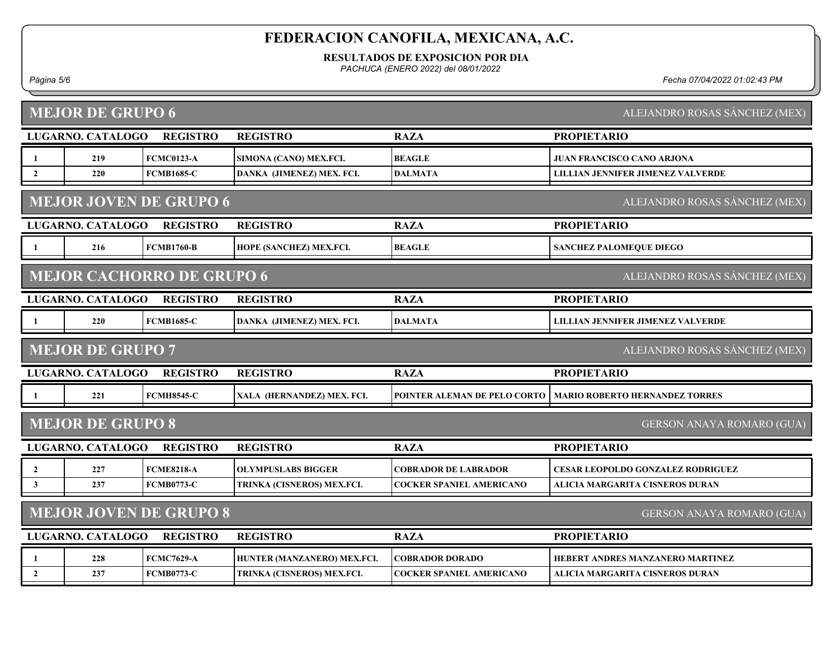RESULTADOS DE EXPOSICION POR DIA

PACHUCA (ENERO 2022) del 08/01/2022

#### Página 5/6 Fecha 07/04/2022 01:02:43 PM

|                | <b>MEJOR DE GRUPO 6</b><br>ALEJANDRO ROSAS SÁNCHEZ (MEX)       |                                  |                             |                                 |                                          |  |  |  |
|----------------|----------------------------------------------------------------|----------------------------------|-----------------------------|---------------------------------|------------------------------------------|--|--|--|
|                | LUGARNO. CATALOGO                                              | <b>REGISTRO</b>                  | <b>REGISTRO</b>             | <b>RAZA</b>                     | <b>PROPIETARIO</b>                       |  |  |  |
| 1              | 219                                                            | <b>FCMC0123-A</b>                | SIMONA (CANO) MEX.FCI.      | <b>BEAGLE</b>                   | <b>JUAN FRANCISCO CANO ARJONA</b>        |  |  |  |
| $\overline{2}$ | 220                                                            | <b>FCMB1685-C</b>                | DANKA (JIMENEZ) MEX. FCI.   | DALMATA                         | <b>LILLIAN JENNIFER JIMENEZ VALVERDE</b> |  |  |  |
|                | <b>MEJOR JOVEN DE GRUPO 6</b><br>ALEJANDRO ROSAS SÁNCHEZ (MEX) |                                  |                             |                                 |                                          |  |  |  |
|                | LUGARNO. CATALOGO                                              | <b>REGISTRO</b>                  | <b>REGISTRO</b>             | <b>RAZA</b>                     | <b>PROPIETARIO</b>                       |  |  |  |
|                | 216                                                            | <b>FCMB1760-B</b>                | HOPE (SANCHEZ) MEX.FCI.     | <b>BEAGLE</b>                   | SANCHEZ PALOMEQUE DIEGO                  |  |  |  |
|                |                                                                | <b>MEJOR CACHORRO DE GRUPO 6</b> |                             |                                 | ALEJANDRO ROSAS SÁNCHEZ (MEX)            |  |  |  |
|                | LUGARNO. CATALOGO                                              | <b>REGISTRO</b>                  | <b>REGISTRO</b>             | <b>RAZA</b>                     | <b>PROPIETARIO</b>                       |  |  |  |
|                | 220                                                            | <b>FCMB1685-C</b>                | DANKA (JIMENEZ) MEX. FCI.   | <b>DALMATA</b>                  | <b>LILLIAN JENNIFER JIMENEZ VALVERDE</b> |  |  |  |
|                | <b>MEJOR DE GRUPO 7</b>                                        |                                  |                             |                                 | ALEJANDRO ROSAS SÁNCHEZ (MEX)            |  |  |  |
|                | LUGARNO. CATALOGO                                              | <b>REGISTRO</b>                  | <b>REGISTRO</b>             | <b>RAZA</b>                     | <b>PROPIETARIO</b>                       |  |  |  |
| -1             | 221                                                            | <b>FCMH8545-C</b>                | XALA (HERNANDEZ) MEX. FCI.  | POINTER ALEMAN DE PELO CORTO    | <b>MARIO ROBERTO HERNANDEZ TORRES</b>    |  |  |  |
|                | <b>MEJOR DE GRUPO 8</b>                                        |                                  |                             |                                 | GERSON ANAYA ROMARO (GUA)                |  |  |  |
|                | LUGARNO. CATALOGO                                              | <b>REGISTRO</b>                  | <b>REGISTRO</b>             | <b>RAZA</b>                     | <b>PROPIETARIO</b>                       |  |  |  |
| $\overline{2}$ | 227                                                            | <b>FCME8218-A</b>                | <b>OLYMPUSLABS BIGGER</b>   | <b>COBRADOR DE LABRADOR</b>     | <b>CESAR LEOPOLDO GONZALEZ RODRIGUEZ</b> |  |  |  |
| $\mathbf{3}$   | 237                                                            | <b>FCMB0773-C</b>                | TRINKA (CISNEROS) MEX.FCI.  | <b>COCKER SPANIEL AMERICANO</b> | <b>ALICIA MARGARITA CISNEROS DURAN</b>   |  |  |  |
|                |                                                                | <b>MEJOR JOVEN DE GRUPO 8</b>    |                             |                                 | GERSON ANAYA ROMARO (GUA)                |  |  |  |
|                | LUGARNO. CATALOGO                                              | <b>REGISTRO</b>                  | <b>REGISTRO</b>             | <b>RAZA</b>                     | <b>PROPIETARIO</b>                       |  |  |  |
| 1              | 228                                                            | <b>FCMC7629-A</b>                | HUNTER (MANZANERO) MEX.FCI. | <b>COBRADOR DORADO</b>          | HEBERT ANDRES MANZANERO MARTINEZ         |  |  |  |
| $\overline{2}$ | 237                                                            | <b>FCMB0773-C</b>                | TRINKA (CISNEROS) MEX.FCI.  | COCKER SPANIEL AMERICANO        | <b>ALICIA MARGARITA CISNEROS DURAN</b>   |  |  |  |